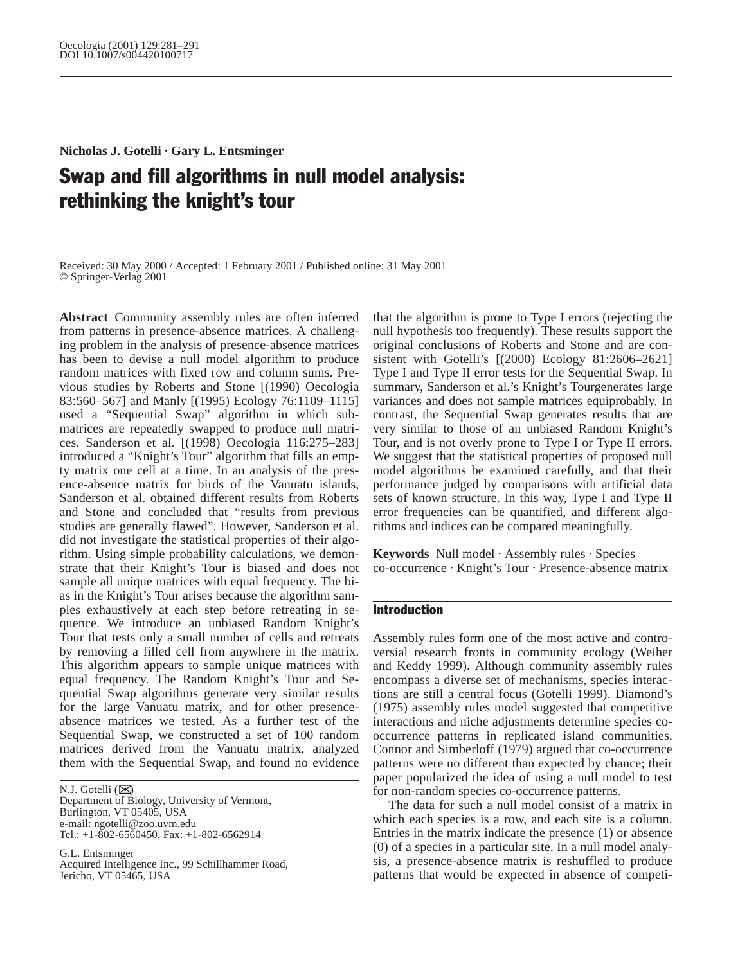# **Nicholas J. Gotelli · Gary L. Entsminger** Swap and fill algorithms in null model analysis: rethinking the knight's tour

Received: 30 May 2000 / Accepted: 1 February 2001 / Published online: 31 May 2001 © Springer-Verlag 2001

**Abstract** Community assembly rules are often inferred from patterns in presence-absence matrices. A challenging problem in the analysis of presence-absence matrices has been to devise a null model algorithm to produce random matrices with fixed row and column sums. Previous studies by Roberts and Stone [(1990) Oecologia 83:560–567] and Manly [(1995) Ecology 76:1109–1115] used a "Sequential Swap" algorithm in which submatrices are repeatedly swapped to produce null matrices. Sanderson et al. [(1998) Oecologia 116:275–283] introduced a "Knight's Tour" algorithm that fills an empty matrix one cell at a time. In an analysis of the presence-absence matrix for birds of the Vanuatu islands, Sanderson et al. obtained different results from Roberts and Stone and concluded that "results from previous studies are generally flawed". However, Sanderson et al. did not investigate the statistical properties of their algorithm. Using simple probability calculations, we demonstrate that their Knight's Tour is biased and does not sample all unique matrices with equal frequency. The bias in the Knight's Tour arises because the algorithm samples exhaustively at each step before retreating in sequence. We introduce an unbiased Random Knight's Tour that tests only a small number of cells and retreats by removing a filled cell from anywhere in the matrix. This algorithm appears to sample unique matrices with equal frequency. The Random Knight's Tour and Sequential Swap algorithms generate very similar results for the large Vanuatu matrix, and for other presenceabsence matrices we tested. As a further test of the Sequential Swap, we constructed a set of 100 random matrices derived from the Vanuatu matrix, analyzed them with the Sequential Swap, and found no evidence

N.J. Gotelli  $(\mathbb{X})$ 

Department of Biology, University of Vermont, Burlington, VT 05405, USA e-mail: ngotelli@zoo.uvm.edu Tel.: +1-802-6560450, Fax: +1-802-6562914

G.L. Entsminger Acquired Intelligence Inc., 99 Schillhammer Road, Jericho, VT 05465, USA

that the algorithm is prone to Type I errors (rejecting the null hypothesis too frequently). These results support the original conclusions of Roberts and Stone and are consistent with Gotelli's [(2000) Ecology 81:2606–2621] Type I and Type II error tests for the Sequential Swap. In summary, Sanderson et al.'s Knight's Tourgenerates large variances and does not sample matrices equiprobably. In contrast, the Sequential Swap generates results that are very similar to those of an unbiased Random Knight's Tour, and is not overly prone to Type I or Type II errors. We suggest that the statistical properties of proposed null model algorithms be examined carefully, and that their performance judged by comparisons with artificial data sets of known structure. In this way, Type I and Type II error frequencies can be quantified, and different algorithms and indices can be compared meaningfully.

**Keywords** Null model · Assembly rules · Species co-occurrence · Knight's Tour · Presence-absence matrix

# Introduction

Assembly rules form one of the most active and controversial research fronts in community ecology (Weiher and Keddy 1999). Although community assembly rules encompass a diverse set of mechanisms, species interactions are still a central focus (Gotelli 1999). Diamond's (1975) assembly rules model suggested that competitive interactions and niche adjustments determine species cooccurrence patterns in replicated island communities. Connor and Simberloff (1979) argued that co-occurrence patterns were no different than expected by chance; their paper popularized the idea of using a null model to test for non-random species co-occurrence patterns.

The data for such a null model consist of a matrix in which each species is a row, and each site is a column. Entries in the matrix indicate the presence (1) or absence (0) of a species in a particular site. In a null model analysis, a presence-absence matrix is reshuffled to produce patterns that would be expected in absence of competi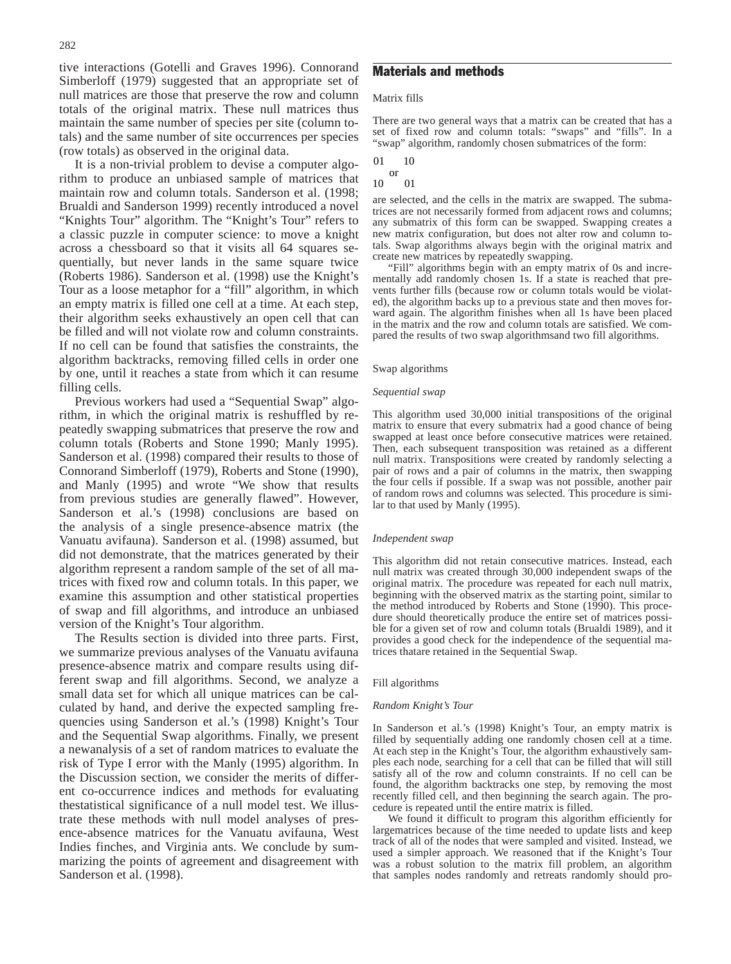tive interactions (Gotelli and Graves 1996). Connorand Simberloff (1979) suggested that an appropriate set of null matrices are those that preserve the row and column totals of the original matrix. These null matrices thus maintain the same number of species per site (column totals) and the same number of site occurrences per species (row totals) as observed in the original data.

It is a non-trivial problem to devise a computer algorithm to produce an unbiased sample of matrices that maintain row and column totals. Sanderson et al. (1998; Brualdi and Sanderson 1999) recently introduced a novel "Knights Tour" algorithm. The "Knight's Tour" refers to a classic puzzle in computer science: to move a knight across a chessboard so that it visits all 64 squares sequentially, but never lands in the same square twice (Roberts 1986). Sanderson et al. (1998) use the Knight's Tour as a loose metaphor for a "fill" algorithm, in which an empty matrix is filled one cell at a time. At each step, their algorithm seeks exhaustively an open cell that can be filled and will not violate row and column constraints. If no cell can be found that satisfies the constraints, the algorithm backtracks, removing filled cells in order one by one, until it reaches a state from which it can resume filling cells.

Previous workers had used a "Sequential Swap" algorithm, in which the original matrix is reshuffled by repeatedly swapping submatrices that preserve the row and column totals (Roberts and Stone 1990; Manly 1995). Sanderson et al. (1998) compared their results to those of Connorand Simberloff (1979), Roberts and Stone (1990), and Manly (1995) and wrote "We show that results from previous studies are generally flawed". However, Sanderson et al.'s (1998) conclusions are based on the analysis of a single presence-absence matrix (the Vanuatu avifauna). Sanderson et al. (1998) assumed, but did not demonstrate, that the matrices generated by their algorithm represent a random sample of the set of all matrices with fixed row and column totals. In this paper, we examine this assumption and other statistical properties of swap and fill algorithms, and introduce an unbiased version of the Knight's Tour algorithm.

The Results section is divided into three parts. First, we summarize previous analyses of the Vanuatu avifauna presence-absence matrix and compare results using different swap and fill algorithms. Second, we analyze a small data set for which all unique matrices can be calculated by hand, and derive the expected sampling frequencies using Sanderson et al.'s (1998) Knight's Tour and the Sequential Swap algorithms. Finally, we present a newanalysis of a set of random matrices to evaluate the risk of Type I error with the Manly (1995) algorithm. In the Discussion section, we consider the merits of different co-occurrence indices and methods for evaluating thestatistical significance of a null model test. We illustrate these methods with null model analyses of presence-absence matrices for the Vanuatu avifauna, West Indies finches, and Virginia ants. We conclude by summarizing the points of agreement and disagreement with Sanderson et al. (1998).

# Materials and methods

Matrix fills

There are two general ways that a matrix can be created that has a set of fixed row and column totals: "swaps" and "fills". In a "swap" algorithm, randomly chosen submatrices of the form:

01 10

10 01 or

are selected, and the cells in the matrix are swapped. The submatrices are not necessarily formed from adjacent rows and columns; any submatrix of this form can be swapped. Swapping creates a new matrix configuration, but does not alter row and column totals. Swap algorithms always begin with the original matrix and create new matrices by repeatedly swapping.

"Fill" algorithms begin with an empty matrix of 0s and incrementally add randomly chosen 1s. If a state is reached that prevents further fills (because row or column totals would be violated), the algorithm backs up to a previous state and then moves forward again. The algorithm finishes when all 1s have been placed in the matrix and the row and column totals are satisfied. We compared the results of two swap algorithmsand two fill algorithms.

Swap algorithms

## *Sequential swap*

This algorithm used 30,000 initial transpositions of the original matrix to ensure that every submatrix had a good chance of being swapped at least once before consecutive matrices were retained. Then, each subsequent transposition was retained as a different null matrix. Transpositions were created by randomly selecting a pair of rows and a pair of columns in the matrix, then swapping the four cells if possible. If a swap was not possible, another pair of random rows and columns was selected. This procedure is similar to that used by Manly (1995).

#### *Independent swap*

This algorithm did not retain consecutive matrices. Instead, each null matrix was created through 30,000 independent swaps of the original matrix. The procedure was repeated for each null matrix, beginning with the observed matrix as the starting point, similar to the method introduced by Roberts and Stone (1990). This procedure should theoretically produce the entire set of matrices possible for a given set of row and column totals (Brualdi 1989), and it provides a good check for the independence of the sequential matrices thatare retained in the Sequential Swap.

#### Fill algorithms

#### *Random Knight's Tour*

In Sanderson et al.'s (1998) Knight's Tour, an empty matrix is filled by sequentially adding one randomly chosen cell at a time. At each step in the Knight's Tour, the algorithm exhaustively samples each node, searching for a cell that can be filled that will still satisfy all of the row and column constraints. If no cell can be found, the algorithm backtracks one step, by removing the most recently filled cell, and then beginning the search again. The procedure is repeated until the entire matrix is filled.

We found it difficult to program this algorithm efficiently for largematrices because of the time needed to update lists and keep track of all of the nodes that were sampled and visited. Instead, we used a simpler approach. We reasoned that if the Knight's Tour was a robust solution to the matrix fill problem, an algorithm that samples nodes randomly and retreats randomly should pro-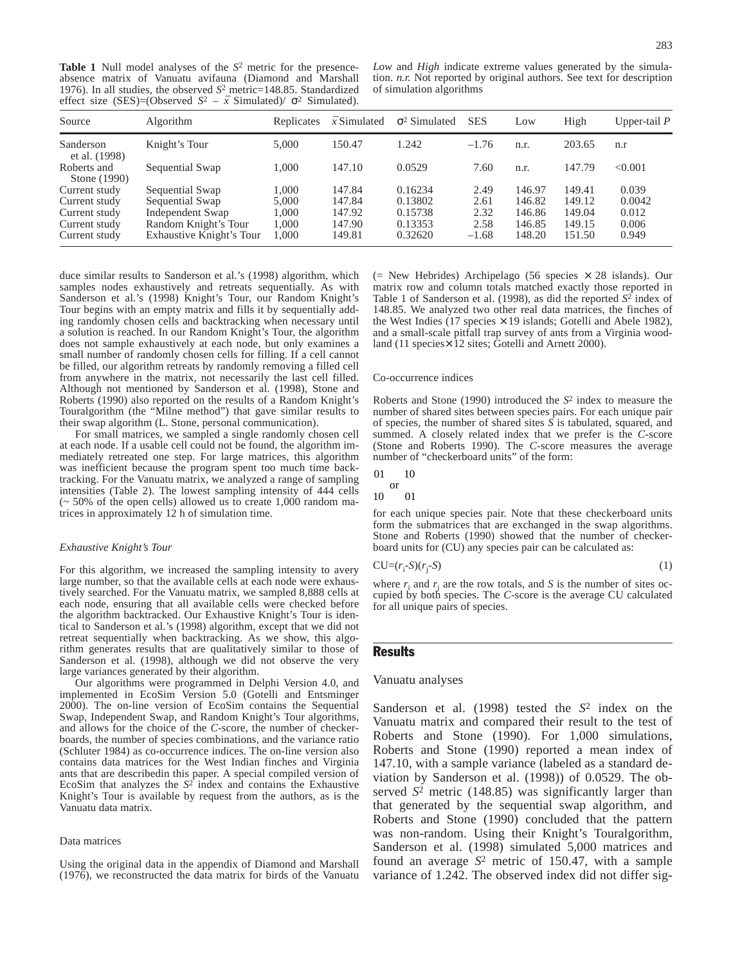**Table 1** Null model analyses of the *S*<sup>2</sup> metric for the presenceabsence matrix of Vanuatu avifauna (Diamond and Marshall 1976). In all studies, the observed *S*<sup>2</sup> metric=148.85. Standardized effect size (SES)=(Observed  $S^2 - \bar{x}$  Simulated)/  $\sigma^2$  Simulated).

*Low* and *High* indicate extreme values generated by the simulation. *n.r.* Not reported by original authors. See text for description of simulation algorithms

| Source                      | Algorithm                | Replicates | $\bar{x}$ Simulated | $\sigma^2$ Simulated | <b>SES</b> | Low    | High   | Upper-tail $P$ |
|-----------------------------|--------------------------|------------|---------------------|----------------------|------------|--------|--------|----------------|
| Sanderson<br>et al. (1998)  | Knight's Tour            | 5,000      | 150.47              | 1.242                | $-1.76$    | n.r.   | 203.65 | n.r            |
| Roberts and<br>Stone (1990) | Sequential Swap          | 1.000      | 147.10              | 0.0529               | 7.60       | n.r.   | 147.79 | < 0.001        |
| Current study               | Sequential Swap          | .000       | 147.84              | 0.16234              | 2.49       | 146.97 | 149.41 | 0.039          |
| Current study               | Sequential Swap          | 5,000      | 147.84              | 0.13802              | 2.61       | 146.82 | 149.12 | 0.0042         |
| Current study               | Independent Swap         | .000       | 147.92              | 0.15738              | 2.32       | 146.86 | 149.04 | 0.012          |
| Current study               | Random Knight's Tour     | 1.000      | 147.90              | 0.13353              | 2.58       | 146.85 | 149.15 | 0.006          |
| Current study               | Exhaustive Knight's Tour | 1.000      | 149.81              | 0.32620              | $-1.68$    | 148.20 | 151.50 | 0.949          |
|                             |                          |            |                     |                      |            |        |        |                |

duce similar results to Sanderson et al.'s (1998) algorithm, which samples nodes exhaustively and retreats sequentially. As with Sanderson et al.'s (1998) Knight's Tour, our Random Knight's Tour begins with an empty matrix and fills it by sequentially adding randomly chosen cells and backtracking when necessary until a solution is reached. In our Random Knight's Tour, the algorithm does not sample exhaustively at each node, but only examines a small number of randomly chosen cells for filling. If a cell cannot be filled, our algorithm retreats by randomly removing a filled cell from anywhere in the matrix, not necessarily the last cell filled. Although not mentioned by Sanderson et al. (1998), Stone and Roberts (1990) also reported on the results of a Random Knight's Touralgorithm (the "Milne method") that gave similar results to their swap algorithm (L. Stone, personal communication).

For small matrices, we sampled a single randomly chosen cell at each node. If a usable cell could not be found, the algorithm immediately retreated one step. For large matrices, this algorithm was inefficient because the program spent too much time backtracking. For the Vanuatu matrix, we analyzed a range of sampling intensities (Table 2). The lowest sampling intensity of 444 cells (~ 50% of the open cells) allowed us to create 1,000 random matrices in approximately 12 h of simulation time.

#### *Exhaustive Knight's Tour*

For this algorithm, we increased the sampling intensity to avery large number, so that the available cells at each node were exhaustively searched. For the Vanuatu matrix, we sampled 8,888 cells at each node, ensuring that all available cells were checked before the algorithm backtracked. Our Exhaustive Knight's Tour is identical to Sanderson et al.'s (1998) algorithm, except that we did not retreat sequentially when backtracking. As we show, this algorithm generates results that are qualitatively similar to those of Sanderson et al. (1998), although we did not observe the very large variances generated by their algorithm.

Our algorithms were programmed in Delphi Version 4.0, and implemented in EcoSim Version 5.0 (Gotelli and Entsminger 2000). The on-line version of EcoSim contains the Sequential Swap, Independent Swap, and Random Knight's Tour algorithms, and allows for the choice of the *C*-score, the number of checkerboards, the number of species combinations, and the variance ratio (Schluter 1984) as co-occurrence indices. The on-line version also contains data matrices for the West Indian finches and Virginia ants that are describedin this paper. A special compiled version of EcoSim that analyzes the *S*<sup>2</sup> index and contains the Exhaustive Knight's Tour is available by request from the authors, as is the Vanuatu data matrix.

#### Data matrices

Using the original data in the appendix of Diamond and Marshall (1976), we reconstructed the data matrix for birds of the Vanuatu

(= New Hebrides) Archipelago (56 species  $\times$  28 islands). Our matrix row and column totals matched exactly those reported in Table 1 of Sanderson et al. (1998), as did the reported *S*<sup>2</sup> index of 148.85. We analyzed two other real data matrices, the finches of the West Indies (17 species  $\times$  19 islands; Gotelli and Abele 1982), and a small-scale pitfall trap survey of ants from a Virginia woodland (11 species $\times$  12 sites; Gotelli and Arnett 2000).

#### Co-occurrence indices

Roberts and Stone (1990) introduced the *S*<sup>2</sup> index to measure the number of shared sites between species pairs. For each unique pair of species, the number of shared sites *S* is tabulated, squared, and summed. A closely related index that we prefer is the *C*-score (Stone and Roberts 1990). The *C*-score measures the average number of "checkerboard units" of the form:

01 10

10 01 or

for each unique species pair. Note that these checkerboard units form the submatrices that are exchanged in the swap algorithms. Stone and Roberts (1990) showed that the number of checkerboard units for (CU) any species pair can be calculated as:

$$
CU=(r_i-S)(r_j-S)
$$
 (1)

where  $r_i$  and  $r_i$  are the row totals, and *S* is the number of sites occupied by both species. The *C*-score is the average CU calculated for all unique pairs of species.

## Results

#### Vanuatu analyses

Sanderson et al. (1998) tested the *S*<sup>2</sup> index on the Vanuatu matrix and compared their result to the test of Roberts and Stone (1990). For 1,000 simulations, Roberts and Stone (1990) reported a mean index of 147.10, with a sample variance (labeled as a standard deviation by Sanderson et al. (1998)) of 0.0529. The observed *S*<sup>2</sup> metric (148.85) was significantly larger than that generated by the sequential swap algorithm, and Roberts and Stone (1990) concluded that the pattern was non-random. Using their Knight's Touralgorithm, Sanderson et al. (1998) simulated 5,000 matrices and found an average *S*<sup>2</sup> metric of 150.47, with a sample variance of 1.242. The observed index did not differ sig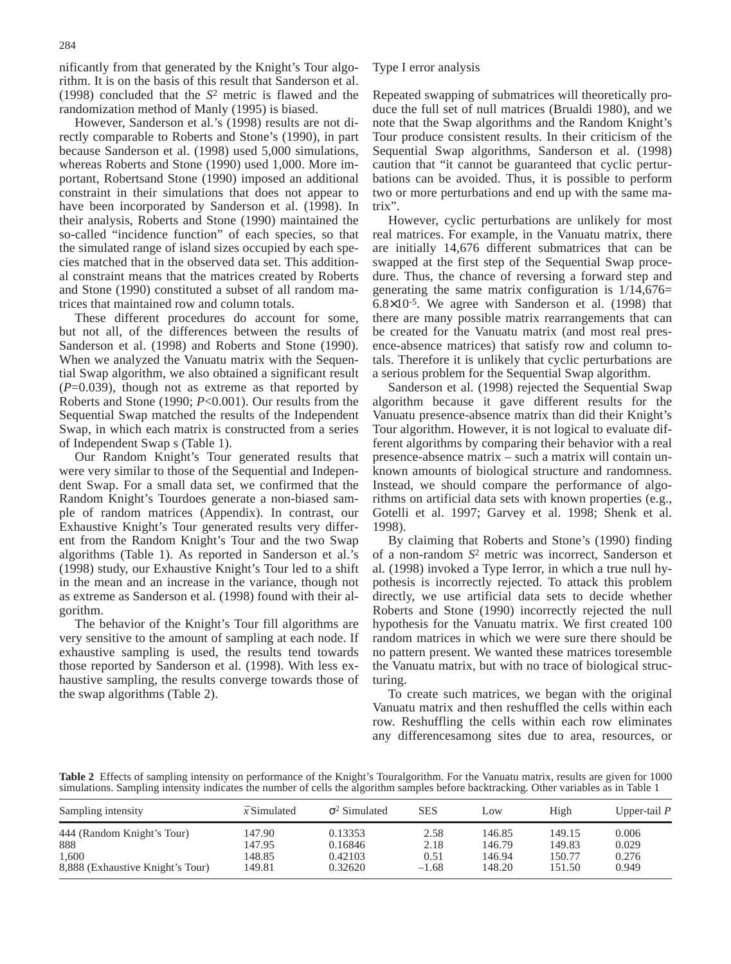nificantly from that generated by the Knight's Tour algorithm. It is on the basis of this result that Sanderson et al. (1998) concluded that the *S*<sup>2</sup> metric is flawed and the randomization method of Manly (1995) is biased.

However, Sanderson et al.'s (1998) results are not directly comparable to Roberts and Stone's (1990), in part because Sanderson et al. (1998) used 5,000 simulations, whereas Roberts and Stone (1990) used 1,000. More important, Robertsand Stone (1990) imposed an additional constraint in their simulations that does not appear to have been incorporated by Sanderson et al. (1998). In their analysis, Roberts and Stone (1990) maintained the so-called "incidence function" of each species, so that the simulated range of island sizes occupied by each species matched that in the observed data set. This additional constraint means that the matrices created by Roberts and Stone (1990) constituted a subset of all random matrices that maintained row and column totals.

These different procedures do account for some, but not all, of the differences between the results of Sanderson et al. (1998) and Roberts and Stone (1990). When we analyzed the Vanuatu matrix with the Sequential Swap algorithm, we also obtained a significant result  $(P=0.039)$ , though not as extreme as that reported by Roberts and Stone (1990; *P*<0.001). Our results from the Sequential Swap matched the results of the Independent Swap, in which each matrix is constructed from a series of Independent Swap s (Table 1).

Our Random Knight's Tour generated results that were very similar to those of the Sequential and Independent Swap. For a small data set, we confirmed that the Random Knight's Tourdoes generate a non-biased sample of random matrices (Appendix). In contrast, our Exhaustive Knight's Tour generated results very different from the Random Knight's Tour and the two Swap algorithms (Table 1). As reported in Sanderson et al.'s (1998) study, our Exhaustive Knight's Tour led to a shift in the mean and an increase in the variance, though not as extreme as Sanderson et al. (1998) found with their algorithm.

The behavior of the Knight's Tour fill algorithms are very sensitive to the amount of sampling at each node. If exhaustive sampling is used, the results tend towards those reported by Sanderson et al. (1998). With less exhaustive sampling, the results converge towards those of the swap algorithms (Table 2).

# Type I error analysis

Repeated swapping of submatrices will theoretically produce the full set of null matrices (Brualdi 1980), and we note that the Swap algorithms and the Random Knight's Tour produce consistent results. In their criticism of the Sequential Swap algorithms, Sanderson et al. (1998) caution that "it cannot be guaranteed that cyclic perturbations can be avoided. Thus, it is possible to perform two or more perturbations and end up with the same matrix".

However, cyclic perturbations are unlikely for most real matrices. For example, in the Vanuatu matrix, there are initially 14,676 different submatrices that can be swapped at the first step of the Sequential Swap procedure. Thus, the chance of reversing a forward step and generating the same matrix configuration is  $1/14,676=$  $6.8\times10^{-5}$ . We agree with Sanderson et al. (1998) that there are many possible matrix rearrangements that can be created for the Vanuatu matrix (and most real presence-absence matrices) that satisfy row and column totals. Therefore it is unlikely that cyclic perturbations are a serious problem for the Sequential Swap algorithm.

Sanderson et al. (1998) rejected the Sequential Swap algorithm because it gave different results for the Vanuatu presence-absence matrix than did their Knight's Tour algorithm. However, it is not logical to evaluate different algorithms by comparing their behavior with a real presence-absence matrix – such a matrix will contain unknown amounts of biological structure and randomness. Instead, we should compare the performance of algorithms on artificial data sets with known properties (e.g., Gotelli et al. 1997; Garvey et al. 1998; Shenk et al. 1998).

By claiming that Roberts and Stone's (1990) finding of a non-random *S*<sup>2</sup> metric was incorrect, Sanderson et al. (1998) invoked a Type Ierror, in which a true null hypothesis is incorrectly rejected. To attack this problem directly, we use artificial data sets to decide whether Roberts and Stone (1990) incorrectly rejected the null hypothesis for the Vanuatu matrix. We first created 100 random matrices in which we were sure there should be no pattern present. We wanted these matrices toresemble the Vanuatu matrix, but with no trace of biological structuring.

To create such matrices, we began with the original Vanuatu matrix and then reshuffled the cells within each row. Reshuffling the cells within each row eliminates any differencesamong sites due to area, resources, or

**Table 2** Effects of sampling intensity on performance of the Knight's Touralgorithm. For the Vanuatu matrix, results are given for 1000 simulations. Sampling intensity indicates the number of cells the algorithm samples before backtracking. Other variables as in Table 1

| Sampling intensity                                                             | $\bar{x}$ Simulated                  | $\sigma^2$ Simulated                     | <b>SES</b>                      | Low                                  | High                                 | Upper-tail $P$                   |
|--------------------------------------------------------------------------------|--------------------------------------|------------------------------------------|---------------------------------|--------------------------------------|--------------------------------------|----------------------------------|
| 444 (Random Knight's Tour)<br>888<br>1,600<br>8,888 (Exhaustive Knight's Tour) | 147.90<br>147.95<br>148.85<br>149.81 | 0.13353<br>0.16846<br>0.42103<br>0.32620 | 2.58<br>2.18<br>0.51<br>$-1.68$ | 146.85<br>146.79<br>146.94<br>148.20 | 149.15<br>149.83<br>150.77<br>151.50 | 0.006<br>0.029<br>0.276<br>0.949 |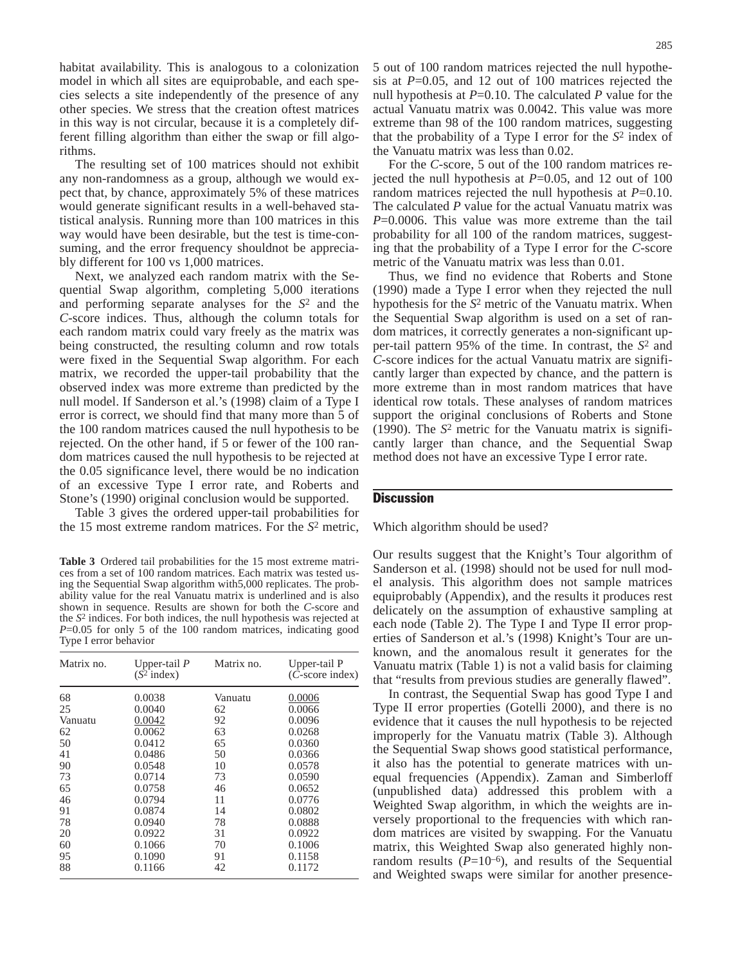285

habitat availability. This is analogous to a colonization model in which all sites are equiprobable, and each species selects a site independently of the presence of any other species. We stress that the creation oftest matrices in this way is not circular, because it is a completely different filling algorithm than either the swap or fill algorithms.

The resulting set of 100 matrices should not exhibit any non-randomness as a group, although we would expect that, by chance, approximately 5% of these matrices would generate significant results in a well-behaved statistical analysis. Running more than 100 matrices in this way would have been desirable, but the test is time-consuming, and the error frequency shouldnot be appreciably different for 100 vs 1,000 matrices.

Next, we analyzed each random matrix with the Sequential Swap algorithm, completing 5,000 iterations and performing separate analyses for the *S*<sup>2</sup> and the *C*-score indices. Thus, although the column totals for each random matrix could vary freely as the matrix was being constructed, the resulting column and row totals were fixed in the Sequential Swap algorithm. For each matrix, we recorded the upper-tail probability that the observed index was more extreme than predicted by the null model. If Sanderson et al.'s (1998) claim of a Type I error is correct, we should find that many more than 5 of the 100 random matrices caused the null hypothesis to be rejected. On the other hand, if 5 or fewer of the 100 random matrices caused the null hypothesis to be rejected at the 0.05 significance level, there would be no indication of an excessive Type I error rate, and Roberts and Stone's (1990) original conclusion would be supported.

Table 3 gives the ordered upper-tail probabilities for the 15 most extreme random matrices. For the *S*<sup>2</sup> metric,

**Table 3** Ordered tail probabilities for the 15 most extreme matrices from a set of 100 random matrices. Each matrix was tested using the Sequential Swap algorithm with5,000 replicates. The probability value for the real Vanuatu matrix is underlined and is also shown in sequence. Results are shown for both the *C*-score and the *S*<sup>2</sup> indices. For both indices, the null hypothesis was rejected at *P*=0.05 for only 5 of the 100 random matrices, indicating good Type I error behavior

| Matrix no. | Upper-tail $P$<br>$(S^2 \text{ index})$ | Matrix no. | Upper-tail P<br>$(C\text{-score index})$ |  |
|------------|-----------------------------------------|------------|------------------------------------------|--|
| 68         | 0.0038                                  | Vanuatu    | 0.0006                                   |  |
| 25         | 0.0040                                  | 62         | 0.0066                                   |  |
| Vanuatu    | 0.0042                                  | 92         | 0.0096                                   |  |
| 62         | 0.0062                                  | 63         | 0.0268                                   |  |
| 50         | 0.0412                                  | 65         | 0.0360                                   |  |
| 41         | 0.0486                                  | 50         | 0.0366                                   |  |
| 90         | 0.0548                                  | 10         | 0.0578                                   |  |
| 73         | 0.0714                                  | 73         | 0.0590                                   |  |
| 65         | 0.0758                                  | 46         | 0.0652                                   |  |
| 46         | 0.0794                                  | 11         | 0.0776                                   |  |
| 91         | 0.0874                                  | 14         | 0.0802                                   |  |
| 78         | 0.0940                                  | 78         | 0.0888                                   |  |
| 20         | 0.0922                                  | 31         | 0.0922                                   |  |
| 60         | 0.1066                                  | 70         | 0.1006                                   |  |
| 95         | 0.1090                                  | 91         | 0.1158                                   |  |
| 88         | 0.1166                                  | 42         | 0.1172                                   |  |

5 out of 100 random matrices rejected the null hypothesis at *P*=0.05, and 12 out of 100 matrices rejected the null hypothesis at *P*=0.10. The calculated *P* value for the actual Vanuatu matrix was 0.0042. This value was more extreme than 98 of the 100 random matrices, suggesting that the probability of a Type I error for the *S*<sup>2</sup> index of the Vanuatu matrix was less than 0.02.

For the *C*-score, 5 out of the 100 random matrices rejected the null hypothesis at *P*=0.05, and 12 out of 100 random matrices rejected the null hypothesis at *P*=0.10. The calculated *P* value for the actual Vanuatu matrix was *P*=0.0006. This value was more extreme than the tail probability for all 100 of the random matrices, suggesting that the probability of a Type I error for the *C*-score metric of the Vanuatu matrix was less than 0.01.

Thus, we find no evidence that Roberts and Stone (1990) made a Type I error when they rejected the null hypothesis for the *S*<sup>2</sup> metric of the Vanuatu matrix. When the Sequential Swap algorithm is used on a set of random matrices, it correctly generates a non-significant upper-tail pattern 95% of the time. In contrast, the *S*<sup>2</sup> and *C*-score indices for the actual Vanuatu matrix are significantly larger than expected by chance, and the pattern is more extreme than in most random matrices that have identical row totals. These analyses of random matrices support the original conclusions of Roberts and Stone (1990). The *S*<sup>2</sup> metric for the Vanuatu matrix is significantly larger than chance, and the Sequential Swap method does not have an excessive Type I error rate.

# **Discussion**

Which algorithm should be used?

Our results suggest that the Knight's Tour algorithm of Sanderson et al. (1998) should not be used for null model analysis. This algorithm does not sample matrices equiprobably (Appendix), and the results it produces rest delicately on the assumption of exhaustive sampling at each node (Table 2). The Type I and Type II error properties of Sanderson et al.'s (1998) Knight's Tour are unknown, and the anomalous result it generates for the Vanuatu matrix (Table 1) is not a valid basis for claiming that "results from previous studies are generally flawed".

In contrast, the Sequential Swap has good Type I and Type II error properties (Gotelli 2000), and there is no evidence that it causes the null hypothesis to be rejected improperly for the Vanuatu matrix (Table 3). Although the Sequential Swap shows good statistical performance, it also has the potential to generate matrices with unequal frequencies (Appendix). Zaman and Simberloff (unpublished data) addressed this problem with a Weighted Swap algorithm, in which the weights are inversely proportional to the frequencies with which random matrices are visited by swapping. For the Vanuatu matrix, this Weighted Swap also generated highly nonrandom results  $(P=10^{-6})$ , and results of the Sequential and Weighted swaps were similar for another presence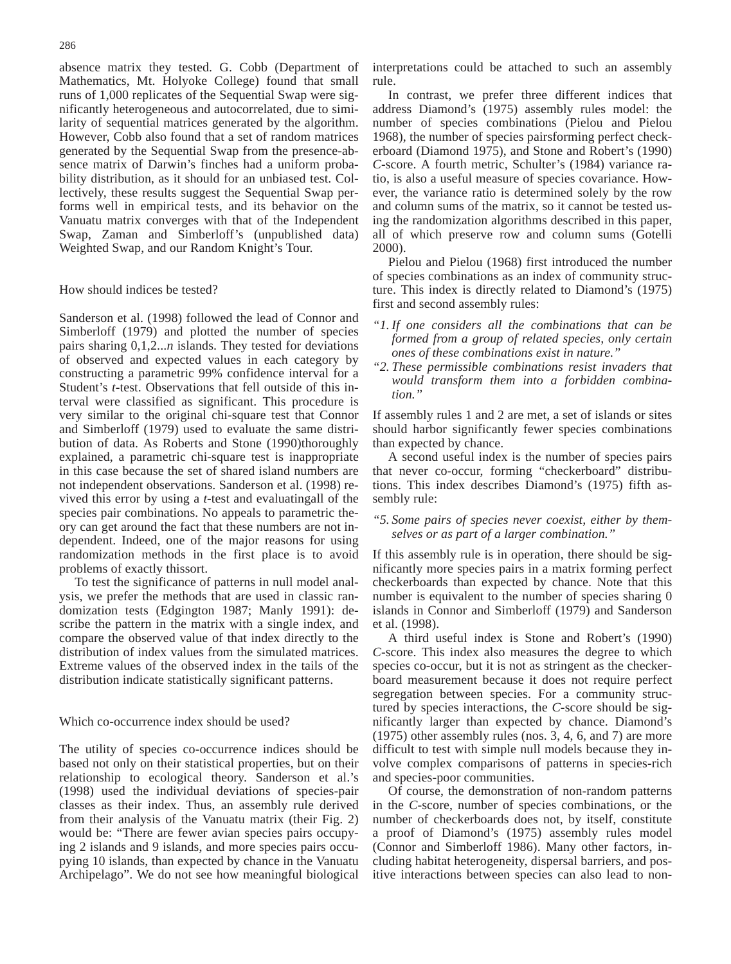absence matrix they tested. G. Cobb (Department of Mathematics, Mt. Holyoke College) found that small runs of 1,000 replicates of the Sequential Swap were significantly heterogeneous and autocorrelated, due to similarity of sequential matrices generated by the algorithm. However, Cobb also found that a set of random matrices generated by the Sequential Swap from the presence-absence matrix of Darwin's finches had a uniform probability distribution, as it should for an unbiased test. Collectively, these results suggest the Sequential Swap performs well in empirical tests, and its behavior on the Vanuatu matrix converges with that of the Independent Swap, Zaman and Simberloff's (unpublished data) Weighted Swap, and our Random Knight's Tour.

# How should indices be tested?

Sanderson et al. (1998) followed the lead of Connor and Simberloff (1979) and plotted the number of species pairs sharing 0,1,2...*n* islands. They tested for deviations of observed and expected values in each category by constructing a parametric 99% confidence interval for a Student's *t*-test. Observations that fell outside of this interval were classified as significant. This procedure is very similar to the original chi-square test that Connor and Simberloff (1979) used to evaluate the same distribution of data. As Roberts and Stone (1990)thoroughly explained, a parametric chi-square test is inappropriate in this case because the set of shared island numbers are not independent observations. Sanderson et al. (1998) revived this error by using a *t*-test and evaluatingall of the species pair combinations. No appeals to parametric theory can get around the fact that these numbers are not independent. Indeed, one of the major reasons for using randomization methods in the first place is to avoid problems of exactly thissort.

To test the significance of patterns in null model analysis, we prefer the methods that are used in classic randomization tests (Edgington 1987; Manly 1991): describe the pattern in the matrix with a single index, and compare the observed value of that index directly to the distribution of index values from the simulated matrices. Extreme values of the observed index in the tails of the distribution indicate statistically significant patterns.

# Which co-occurrence index should be used?

The utility of species co-occurrence indices should be based not only on their statistical properties, but on their relationship to ecological theory. Sanderson et al.'s (1998) used the individual deviations of species-pair classes as their index. Thus, an assembly rule derived from their analysis of the Vanuatu matrix (their Fig. 2) would be: "There are fewer avian species pairs occupying 2 islands and 9 islands, and more species pairs occupying 10 islands, than expected by chance in the Vanuatu Archipelago". We do not see how meaningful biological

interpretations could be attached to such an assembly rule.

In contrast, we prefer three different indices that address Diamond's (1975) assembly rules model: the number of species combinations (Pielou and Pielou 1968), the number of species pairsforming perfect checkerboard (Diamond 1975), and Stone and Robert's (1990) *C*-score. A fourth metric, Schulter's (1984) variance ratio, is also a useful measure of species covariance. However, the variance ratio is determined solely by the row and column sums of the matrix, so it cannot be tested using the randomization algorithms described in this paper, all of which preserve row and column sums (Gotelli 2000).

Pielou and Pielou (1968) first introduced the number of species combinations as an index of community structure. This index is directly related to Diamond's (1975) first and second assembly rules:

- *"1. If one considers all the combinations that can be formed from a group of related species, only certain ones of these combinations exist in nature."*
- *"2. These permissible combinations resist invaders that would transform them into a forbidden combination."*

If assembly rules 1 and 2 are met, a set of islands or sites should harbor significantly fewer species combinations than expected by chance.

A second useful index is the number of species pairs that never co-occur, forming "checkerboard" distributions. This index describes Diamond's (1975) fifth assembly rule:

# *"5. Some pairs of species never coexist, either by themselves or as part of a larger combination."*

If this assembly rule is in operation, there should be significantly more species pairs in a matrix forming perfect checkerboards than expected by chance. Note that this number is equivalent to the number of species sharing 0 islands in Connor and Simberloff (1979) and Sanderson et al. (1998).

A third useful index is Stone and Robert's (1990) *C*-score. This index also measures the degree to which species co-occur, but it is not as stringent as the checkerboard measurement because it does not require perfect segregation between species. For a community structured by species interactions, the *C*-score should be significantly larger than expected by chance. Diamond's (1975) other assembly rules (nos. 3, 4, 6, and 7) are more difficult to test with simple null models because they involve complex comparisons of patterns in species-rich and species-poor communities.

Of course, the demonstration of non-random patterns in the *C*-score, number of species combinations, or the number of checkerboards does not, by itself, constitute a proof of Diamond's (1975) assembly rules model (Connor and Simberloff 1986). Many other factors, including habitat heterogeneity, dispersal barriers, and positive interactions between species can also lead to non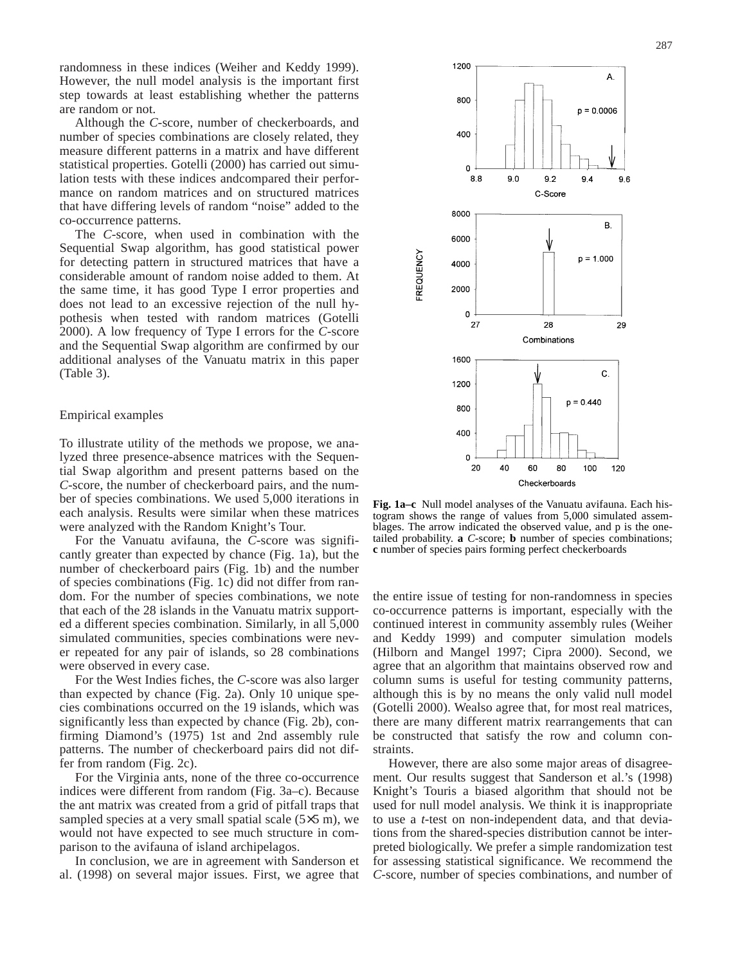randomness in these indices (Weiher and Keddy 1999). However, the null model analysis is the important first step towards at least establishing whether the patterns are random or not.

Although the *C*-score, number of checkerboards, and number of species combinations are closely related, they measure different patterns in a matrix and have different statistical properties. Gotelli (2000) has carried out simulation tests with these indices andcompared their performance on random matrices and on structured matrices that have differing levels of random "noise" added to the co-occurrence patterns.

The *C*-score, when used in combination with the Sequential Swap algorithm, has good statistical power for detecting pattern in structured matrices that have a considerable amount of random noise added to them. At the same time, it has good Type I error properties and does not lead to an excessive rejection of the null hypothesis when tested with random matrices (Gotelli 2000). A low frequency of Type I errors for the *C*-score and the Sequential Swap algorithm are confirmed by our additional analyses of the Vanuatu matrix in this paper (Table 3).

## Empirical examples

To illustrate utility of the methods we propose, we analyzed three presence-absence matrices with the Sequential Swap algorithm and present patterns based on the *C*-score, the number of checkerboard pairs, and the number of species combinations. We used 5,000 iterations in each analysis. Results were similar when these matrices were analyzed with the Random Knight's Tour.

For the Vanuatu avifauna, the *C*-score was significantly greater than expected by chance (Fig. 1a), but the number of checkerboard pairs (Fig. 1b) and the number of species combinations (Fig. 1c) did not differ from random. For the number of species combinations, we note that each of the 28 islands in the Vanuatu matrix supported a different species combination. Similarly, in all 5,000 simulated communities, species combinations were never repeated for any pair of islands, so 28 combinations were observed in every case.

For the West Indies fiches, the *C*-score was also larger than expected by chance (Fig. 2a). Only 10 unique species combinations occurred on the 19 islands, which was significantly less than expected by chance (Fig. 2b), confirming Diamond's (1975) 1st and 2nd assembly rule patterns. The number of checkerboard pairs did not differ from random (Fig. 2c).

For the Virginia ants, none of the three co-occurrence indices were different from random (Fig. 3a–c). Because the ant matrix was created from a grid of pitfall traps that sampled species at a very small spatial scale (5 $\times$ 5 m), we would not have expected to see much structure in comparison to the avifauna of island archipelagos.

In conclusion, we are in agreement with Sanderson et al. (1998) on several major issues. First, we agree that



**Fig. 1a–c** Null model analyses of the Vanuatu avifauna. Each histogram shows the range of values from 5,000 simulated assemblages. The arrow indicated the observed value, and p is the onetailed probability. **a** *C*-score; **b** number of species combinations; **c** number of species pairs forming perfect checkerboards

the entire issue of testing for non-randomness in species co-occurrence patterns is important, especially with the continued interest in community assembly rules (Weiher and Keddy 1999) and computer simulation models (Hilborn and Mangel 1997; Cipra 2000). Second, we agree that an algorithm that maintains observed row and column sums is useful for testing community patterns, although this is by no means the only valid null model (Gotelli 2000). Wealso agree that, for most real matrices, there are many different matrix rearrangements that can be constructed that satisfy the row and column constraints.

However, there are also some major areas of disagreement. Our results suggest that Sanderson et al.'s (1998) Knight's Touris a biased algorithm that should not be used for null model analysis. We think it is inappropriate to use a *t*-test on non-independent data, and that deviations from the shared-species distribution cannot be interpreted biologically. We prefer a simple randomization test for assessing statistical significance. We recommend the *C*-score, number of species combinations, and number of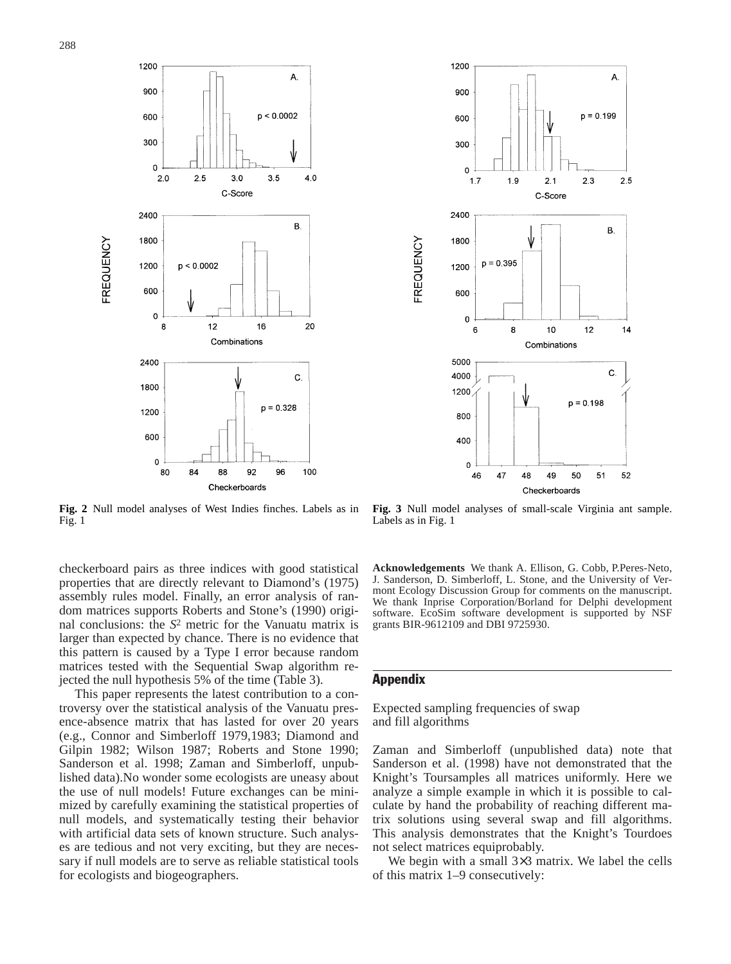

**Fig. 2** Null model analyses of West Indies finches. Labels as in Fig. 1

checkerboard pairs as three indices with good statistical properties that are directly relevant to Diamond's (1975) assembly rules model. Finally, an error analysis of random matrices supports Roberts and Stone's (1990) original conclusions: the *S*<sup>2</sup> metric for the Vanuatu matrix is larger than expected by chance. There is no evidence that this pattern is caused by a Type I error because random matrices tested with the Sequential Swap algorithm rejected the null hypothesis 5% of the time (Table 3).

This paper represents the latest contribution to a controversy over the statistical analysis of the Vanuatu presence-absence matrix that has lasted for over 20 years (e.g., Connor and Simberloff 1979,1983; Diamond and Gilpin 1982; Wilson 1987; Roberts and Stone 1990; Sanderson et al. 1998; Zaman and Simberloff, unpublished data).No wonder some ecologists are uneasy about the use of null models! Future exchanges can be minimized by carefully examining the statistical properties of null models, and systematically testing their behavior with artificial data sets of known structure. Such analyses are tedious and not very exciting, but they are necessary if null models are to serve as reliable statistical tools for ecologists and biogeographers.



**Fig. 3** Null model analyses of small-scale Virginia ant sample. Labels as in Fig. 1

**Acknowledgements** We thank A. Ellison, G. Cobb, P.Peres-Neto, J. Sanderson, D. Simberloff, L. Stone, and the University of Vermont Ecology Discussion Group for comments on the manuscript. We thank Inprise Corporation/Borland for Delphi development software. EcoSim software development is supported by NSF grants BIR-9612109 and DBI 9725930.

# Appendix

# Expected sampling frequencies of swap and fill algorithms

Zaman and Simberloff (unpublished data) note that Sanderson et al. (1998) have not demonstrated that the Knight's Toursamples all matrices uniformly. Here we analyze a simple example in which it is possible to calculate by hand the probability of reaching different matrix solutions using several swap and fill algorithms. This analysis demonstrates that the Knight's Tourdoes not select matrices equiprobably.

We begin with a small  $3\times3$  matrix. We label the cells of this matrix 1–9 consecutively: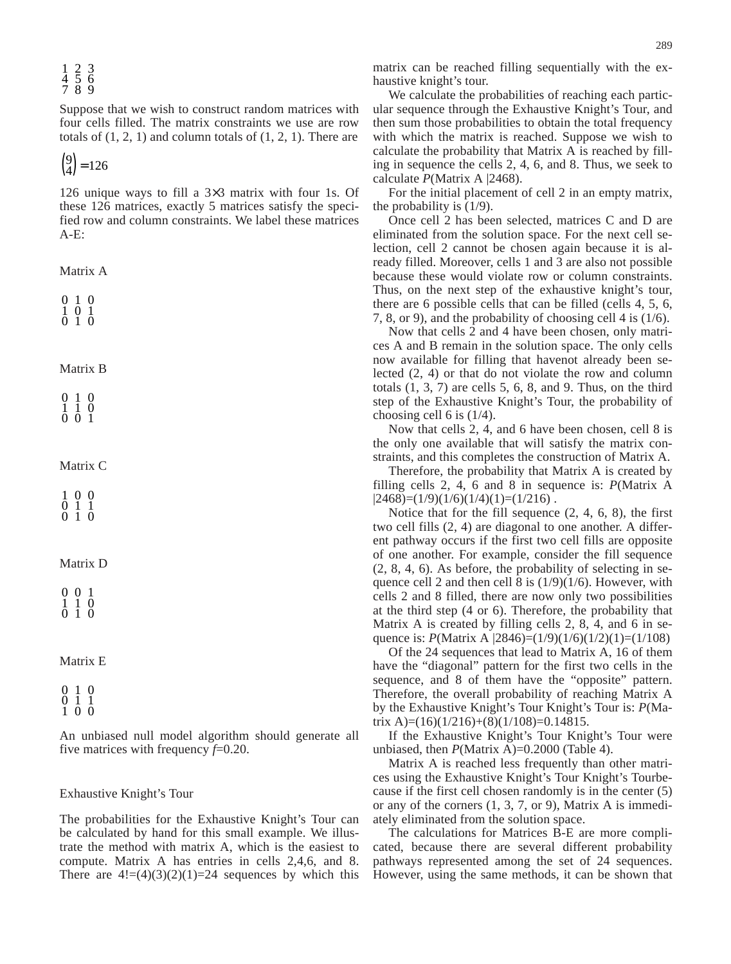Suppose that we wish to construct random matrices with four cells filled. The matrix constraints we use are row totals of  $(1, 2, 1)$  and column totals of  $(1, 2, 1)$ . There are

$$
\binom{9}{4} = 126
$$

126 unique ways to fill a 3×3 matrix with four 1s. Of these 126 matrices, exactly 5 matrices satisfy the specified row and column constraints. We label these matrices  $A-F:$ 

Matrix A

010 101 010

Matrix B

$$
\begin{smallmatrix}0&1&0\\1&1&0\\0&0&1\end{smallmatrix}
$$

Matrix C

$$
\begin{smallmatrix} 1 & 0 & 0 \\ 0 & 1 & 1 \\ 0 & 1 & 0 \end{smallmatrix}
$$

Matrix D

$$
\begin{smallmatrix} 0 & 0 & 1 \\ 1 & 1 & 0 \\ 0 & 1 & 0 \end{smallmatrix}
$$

Matrix E

 $0, 1, 0$  $0 \t{1} \t{1}$ 100

An unbiased null model algorithm should generate all five matrices with frequency *f*=0.20.

# Exhaustive Knight's Tour

The probabilities for the Exhaustive Knight's Tour can be calculated by hand for this small example. We illustrate the method with matrix A, which is the easiest to compute. Matrix A has entries in cells 2,4,6, and 8. There are  $4!=(4)(3)(2)(1)=24$  sequences by which this matrix can be reached filling sequentially with the exhaustive knight's tour.

We calculate the probabilities of reaching each particular sequence through the Exhaustive Knight's Tour, and then sum those probabilities to obtain the total frequency with which the matrix is reached. Suppose we wish to calculate the probability that Matrix A is reached by filling in sequence the cells 2, 4, 6, and 8. Thus, we seek to calculate *P*(Matrix A |2468).

For the initial placement of cell 2 in an empty matrix, the probability is  $(1/9)$ .

Once cell 2 has been selected, matrices C and D are eliminated from the solution space. For the next cell selection, cell 2 cannot be chosen again because it is already filled. Moreover, cells 1 and 3 are also not possible because these would violate row or column constraints. Thus, on the next step of the exhaustive knight's tour, there are 6 possible cells that can be filled (cells 4, 5, 6, 7, 8, or 9), and the probability of choosing cell 4 is (1/6).

Now that cells 2 and 4 have been chosen, only matrices A and B remain in the solution space. The only cells now available for filling that havenot already been selected (2, 4) or that do not violate the row and column totals  $(1, 3, 7)$  are cells  $5, 6, 8,$  and  $9$ . Thus, on the third step of the Exhaustive Knight's Tour, the probability of choosing cell 6 is  $(1/4)$ .

Now that cells 2, 4, and 6 have been chosen, cell 8 is the only one available that will satisfy the matrix constraints, and this completes the construction of Matrix A.

Therefore, the probability that Matrix A is created by filling cells 2, 4, 6 and 8 in sequence is: *P*(Matrix A  $|2468\rangle = (1/9)(1/6)(1/4)(1) = (1/216)$ .

Notice that for the fill sequence (2, 4, 6, 8), the first two cell fills (2, 4) are diagonal to one another. A different pathway occurs if the first two cell fills are opposite of one another. For example, consider the fill sequence (2, 8, 4, 6). As before, the probability of selecting in sequence cell 2 and then cell 8 is  $(1/9)(1/6)$ . However, with cells 2 and 8 filled, there are now only two possibilities at the third step (4 or 6). Therefore, the probability that Matrix A is created by filling cells 2, 8, 4, and 6 in sequence is: *P*(Matrix A |2846)=(1/9)(1/6)(1/2)(1)=(1/108)

Of the 24 sequences that lead to Matrix A, 16 of them have the "diagonal" pattern for the first two cells in the sequence, and 8 of them have the "opposite" pattern. Therefore, the overall probability of reaching Matrix A by the Exhaustive Knight's Tour Knight's Tour is: *P*(Matrix A)= $(16)(1/216)+(8)(1/108)=0.14815$ .

If the Exhaustive Knight's Tour Knight's Tour were unbiased, then *P*(Matrix A)=0.2000 (Table 4).

Matrix A is reached less frequently than other matrices using the Exhaustive Knight's Tour Knight's Tourbecause if the first cell chosen randomly is in the center (5) or any of the corners (1, 3, 7, or 9), Matrix A is immediately eliminated from the solution space.

The calculations for Matrices B-E are more complicated, because there are several different probability pathways represented among the set of 24 sequences. However, using the same methods, it can be shown that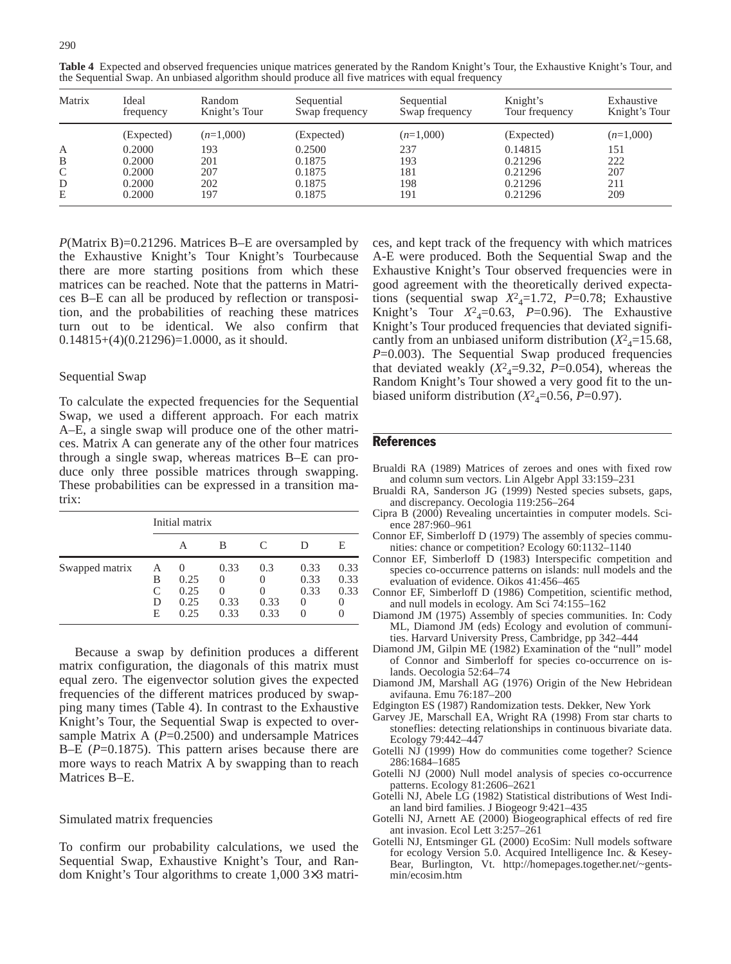| Matrix        | Ideal<br>frequency | Random<br>Knight's Tour | Sequential<br>Swap frequency | Sequential<br>Swap frequency | Knight's<br>Tour frequency | Exhaustive<br>Knight's Tour |
|---------------|--------------------|-------------------------|------------------------------|------------------------------|----------------------------|-----------------------------|
|               | (Expected)         | $(n=1,000)$             | (Expected)                   | $(n=1,000)$                  | (Expected)                 | $(n=1,000)$                 |
| A             | 0.2000             | 193                     | 0.2500                       | 237                          | 0.14815                    | 151                         |
| B             | 0.2000             | 201                     | 0.1875                       | 193                          | 0.21296                    | 222                         |
| $\mathcal{C}$ | 0.2000             | 207                     | 0.1875                       | 181                          | 0.21296                    | 207                         |
| D             | 0.2000             | 202                     | 0.1875                       | 198                          | 0.21296                    | 211                         |
| E             | 0.2000             | 197                     | 0.1875                       | 191                          | 0.21296                    | 209                         |

**Table 4** Expected and observed frequencies unique matrices generated by the Random Knight's Tour, the Exhaustive Knight's Tour, and the Sequential Swap. An unbiased algorithm should produce all five matrices with equal frequency

*P*(Matrix B)=0.21296. Matrices B–E are oversampled by the Exhaustive Knight's Tour Knight's Tourbecause there are more starting positions from which these matrices can be reached. Note that the patterns in Matrices B–E can all be produced by reflection or transposition, and the probabilities of reaching these matrices turn out to be identical. We also confirm that  $0.14815+(4)(0.21296)=1.0000$ , as it should.

## Sequential Swap

To calculate the expected frequencies for the Sequential Swap, we used a different approach. For each matrix A–E, a single swap will produce one of the other matrices. Matrix A can generate any of the other four matrices through a single swap, whereas matrices B–E can produce only three possible matrices through swapping. These probabilities can be expressed in a transition matrix:

|                | Initial matrix        |                                        |                                       |                                 |                      |                                  |  |
|----------------|-----------------------|----------------------------------------|---------------------------------------|---------------------------------|----------------------|----------------------------------|--|
|                |                       |                                        | В                                     | C                               |                      | Е                                |  |
| Swapped matrix | A<br>В<br>C<br>D<br>Е | $\cup$<br>0.25<br>0.25<br>0.25<br>0.25 | 0.33<br>$\mathcal{L}$<br>0.33<br>0.33 | 0.3<br>$\theta$<br>0.33<br>0.33 | 0.33<br>0.33<br>0.33 | 0.33<br>0.33<br>0.33<br>$\theta$ |  |

Because a swap by definition produces a different matrix configuration, the diagonals of this matrix must equal zero. The eigenvector solution gives the expected frequencies of the different matrices produced by swapping many times (Table 4). In contrast to the Exhaustive Knight's Tour, the Sequential Swap is expected to oversample Matrix A (P=0.2500) and undersample Matrices B–E (*P*=0.1875). This pattern arises because there are more ways to reach Matrix A by swapping than to reach Matrices B–E.

## Simulated matrix frequencies

To confirm our probability calculations, we used the Sequential Swap, Exhaustive Knight's Tour, and Random Knight's Tour algorithms to create 1,000 3×3 matrices, and kept track of the frequency with which matrices A-E were produced. Both the Sequential Swap and the Exhaustive Knight's Tour observed frequencies were in good agreement with the theoretically derived expectations (sequential swap  $X^2$ <sub>4</sub>=1.72, *P*=0.78; Exhaustive Knight's Tour  $X^2$ <sub>4</sub>=0.63, *P*=0.96). The Exhaustive Knight's Tour produced frequencies that deviated significantly from an unbiased uniform distribution  $(X^2_{\frac{1}{2}}=15.68)$ , *P*=0.003). The Sequential Swap produced frequencies that deviated weakly  $(X^2_{\frac{1}{4}}=9.32, P=0.054)$ , whereas the Random Knight's Tour showed a very good fit to the unbiased uniform distribution  $(X^2_{\underline{4}}=0.56, P=0.97)$ .

# References

- Brualdi RA (1989) Matrices of zeroes and ones with fixed row and column sum vectors. Lin Algebr Appl 33:159–231
- Brualdi RA, Sanderson JG (1999) Nested species subsets, gaps, and discrepancy. Oecologia 119:256–264
- Cipra B (2000) Revealing uncertainties in computer models. Science 287:960–961
- Connor EF, Simberloff D (1979) The assembly of species communities: chance or competition? Ecology 60:1132–1140
- Connor EF, Simberloff D (1983) Interspecific competition and species co-occurrence patterns on islands: null models and the evaluation of evidence. Oikos 41:456–465
- Connor EF, Simberloff D (1986) Competition, scientific method, and null models in ecology. Am Sci 74:155–162
- Diamond JM (1975) Assembly of species communities. In: Cody ML, Diamond JM (eds) Ecology and evolution of communities. Harvard University Press, Cambridge, pp 342–444
- Diamond JM, Gilpin ME (1982) Examination of the "null" model of Connor and Simberloff for species co-occurrence on islands. Oecologia 52:64–74
- Diamond JM, Marshall AG (1976) Origin of the New Hebridean avifauna. Emu 76:187–200
- Edgington ES (1987) Randomization tests. Dekker, New York
- Garvey JE, Marschall EA, Wright RA (1998) From star charts to stoneflies: detecting relationships in continuous bivariate data. Ecology 79:442–447
- Gotelli NJ (1999) How do communities come together? Science 286:1684–1685
- Gotelli NJ (2000) Null model analysis of species co-occurrence patterns. Ecology 81:2606–2621
- Gotelli NJ, Abele LG (1982) Statistical distributions of West Indian land bird families. J Biogeogr 9:421–435
- Gotelli NJ, Arnett AE (2000) Biogeographical effects of red fire ant invasion. Ecol Lett 3:257–261
- Gotelli NJ, Entsminger GL (2000) EcoSim: Null models software for ecology Version 5.0. Acquired Intelligence Inc. & Kesey-Bear, Burlington, Vt. http://homepages.together.net/~gentsmin/ecosim.htm